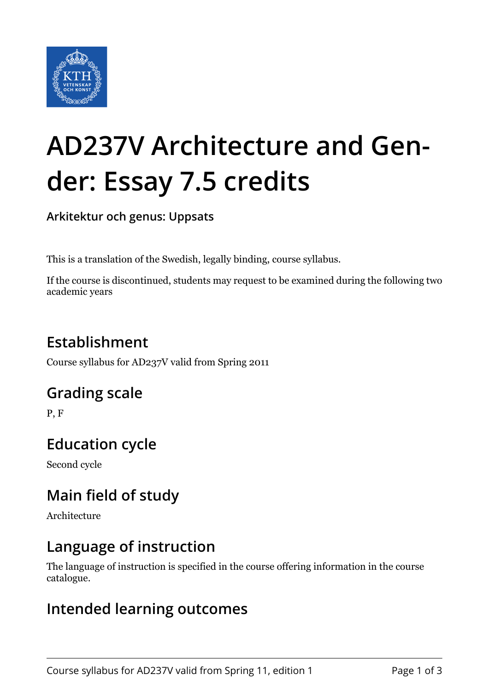

# **AD237V Architecture and Gender: Essay 7.5 credits**

**Arkitektur och genus: Uppsats**

This is a translation of the Swedish, legally binding, course syllabus.

If the course is discontinued, students may request to be examined during the following two academic years

## **Establishment**

Course syllabus for AD237V valid from Spring 2011

## **Grading scale**

P, F

## **Education cycle**

Second cycle

## **Main field of study**

Architecture

## **Language of instruction**

The language of instruction is specified in the course offering information in the course catalogue.

#### **Intended learning outcomes**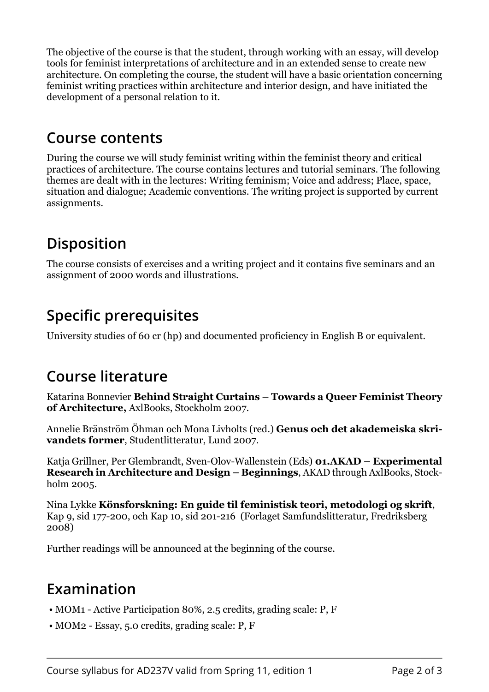The objective of the course is that the student, through working with an essay, will develop tools for feminist interpretations of architecture and in an extended sense to create new architecture. On completing the course, the student will have a basic orientation concerning feminist writing practices within architecture and interior design, and have initiated the development of a personal relation to it.

#### **Course contents**

During the course we will study feminist writing within the feminist theory and critical practices of architecture. The course contains lectures and tutorial seminars. The following themes are dealt with in the lectures: Writing feminism; Voice and address; Place, space, situation and dialogue; Academic conventions. The writing project is supported by current assignments.

## **Disposition**

The course consists of exercises and a writing project and it contains five seminars and an assignment of 2000 words and illustrations.

## **Specific prerequisites**

University studies of 60 cr (hp) and documented proficiency in English B or equivalent.

## **Course literature**

Katarina Bonnevier **Behind Straight Curtains – Towards a Queer Feminist Theory** of Architecture, AxlBooks, Stockholm 2007.

Annelie Bränström Öhman och Mona Livholts (red.) **Genus och det akademeiska skri**vandets former, Studentlitteratur, Lund 2007.

Katja Grillner, Per Glembrandt, Sven-Olov-Wallenstein (Eds) **01.AKAD – Experimental Research in Architecture and Design – Beginnings. AKAD through AxlBooks, Stock**holm 2005.

Nina Lykke **Könsforskning: En guide til feministisk teori, metodologi og skrift,** Kap 9, sid 177-200, och Kap 10, sid 201-216 (Forlaget Samfundslitteratur, Fredriksberg 2008)

Further readings will be announced at the beginning of the course.

## **Examination**

- MOM1 Active Participation 80%, 2.5 credits, grading scale: P, F
- MOM2 Essay, 5.0 credits, grading scale: P, F